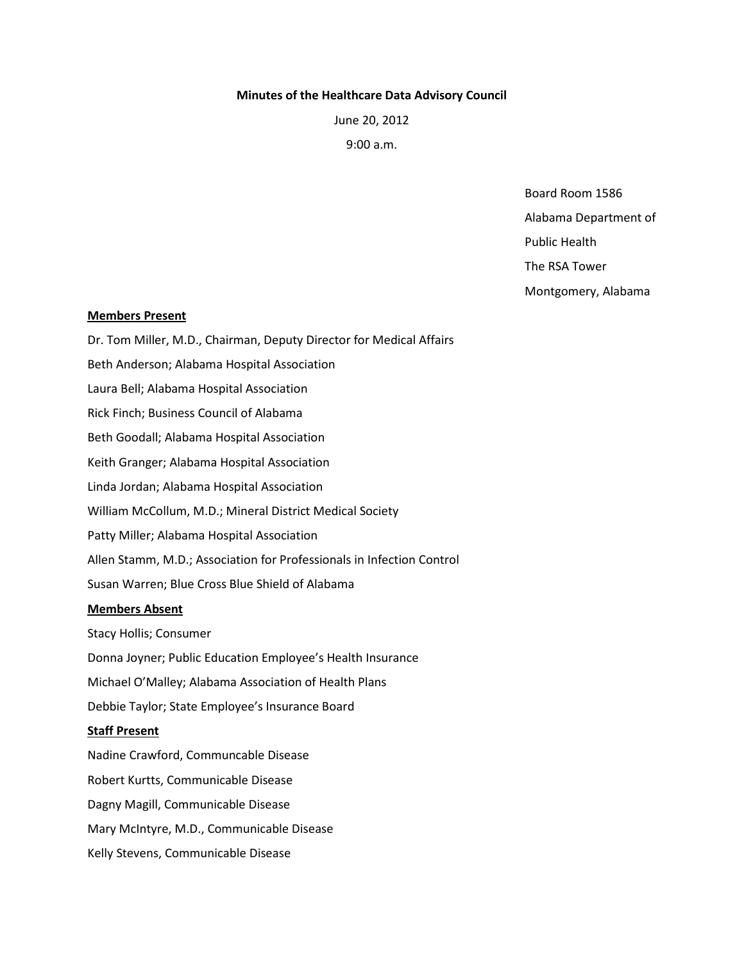### **Minutes of the Healthcare Data Advisory Council**

June 20, 2012

9:00 a.m.

Board Room 1586

Alabama Department of

Public Health

The RSA Tower

Montgomery, Alabama

## **Members Present**

Dr. Tom Miller, M.D., Chairman, Deputy Director for Medical Affairs Beth Anderson; Alabama Hospital Association Laura Bell; Alabama Hospital Association Rick Finch; Business Council of Alabama Beth Goodall; Alabama Hospital Association Keith Granger; Alabama Hospital Association Linda Jordan; Alabama Hospital Association William McCollum, M.D.; Mineral District Medical Society Patty Miller; Alabama Hospital Association Allen Stamm, M.D.; Association for Professionals in Infection Control Susan Warren; Blue Cross Blue Shield of Alabama **Members Absent** Stacy Hollis; Consumer Donna Joyner; Public Education Employee's Health Insurance Michael O'Malley; Alabama Association of Health Plans Debbie Taylor; State Employee's Insurance Board

## **Staff Present**

Nadine Crawford, Communcable Disease Robert Kurtts, Communicable Disease Dagny Magill, Communicable Disease Mary McIntyre, M.D., Communicable Disease Kelly Stevens, Communicable Disease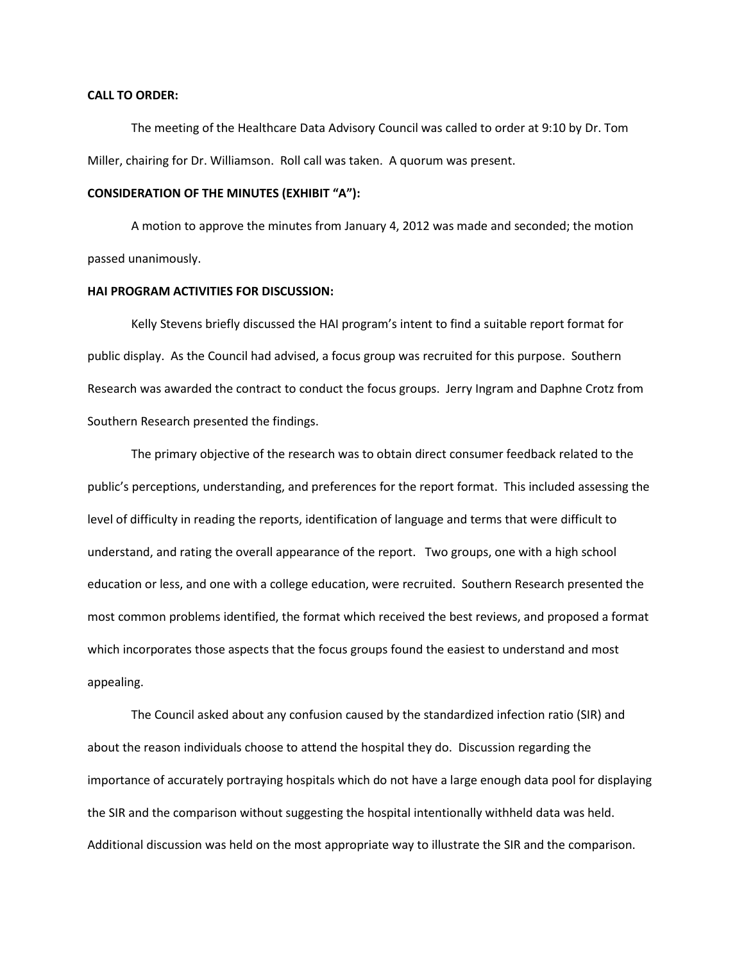#### **CALL TO ORDER:**

The meeting of the Healthcare Data Advisory Council was called to order at 9:10 by Dr. Tom Miller, chairing for Dr. Williamson. Roll call was taken. A quorum was present.

## **CONSIDERATION OF THE MINUTES (EXHIBIT "A"):**

A motion to approve the minutes from January 4, 2012 was made and seconded; the motion passed unanimously.

#### **HAI PROGRAM ACTIVITIES FOR DISCUSSION:**

Kelly Stevens briefly discussed the HAI program's intent to find a suitable report format for public display. As the Council had advised, a focus group was recruited for this purpose. Southern Research was awarded the contract to conduct the focus groups. Jerry Ingram and Daphne Crotz from Southern Research presented the findings.

The primary objective of the research was to obtain direct consumer feedback related to the public's perceptions, understanding, and preferences for the report format. This included assessing the level of difficulty in reading the reports, identification of language and terms that were difficult to understand, and rating the overall appearance of the report. Two groups, one with a high school education or less, and one with a college education, were recruited. Southern Research presented the most common problems identified, the format which received the best reviews, and proposed a format which incorporates those aspects that the focus groups found the easiest to understand and most appealing.

The Council asked about any confusion caused by the standardized infection ratio (SIR) and about the reason individuals choose to attend the hospital they do. Discussion regarding the importance of accurately portraying hospitals which do not have a large enough data pool for displaying the SIR and the comparison without suggesting the hospital intentionally withheld data was held. Additional discussion was held on the most appropriate way to illustrate the SIR and the comparison.